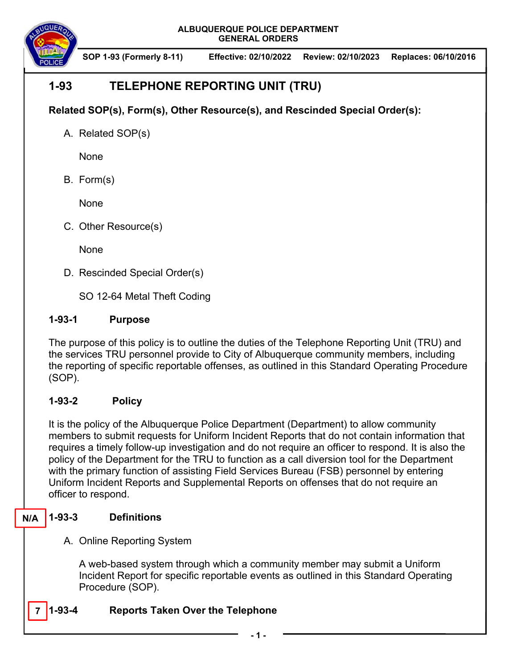

**SOP 1-93 (Formerly 8-11) Effective: 02/10/2022 Review: 02/10/2023 Replaces: 06/10/2016**

# **1-93 TELEPHONE REPORTING UNIT (TRU)**

**Related SOP(s), Form(s), Other Resource(s), and Rescinded Special Order(s):** 

A. Related SOP(s)

None

B. Form(s)

None

C. Other Resource(s)

**None** 

D. Rescinded Special Order(s)

SO 12-64 Metal Theft Coding

## **1-93-1 Purpose**

The purpose of this policy is to outline the duties of the Telephone Reporting Unit (TRU) and the services TRU personnel provide to City of Albuquerque community members, including the reporting of specific reportable offenses, as outlined in this Standard Operating Procedure (SOP).

## **1-93-2 Policy**

It is the policy of the Albuquerque Police Department (Department) to allow community members to submit requests for Uniform Incident Reports that do not contain information that requires a timely follow-up investigation and do not require an officer to respond. It is also the policy of the Department for the TRU to function as a call diversion tool for the Department with the primary function of assisting Field Services Bureau (FSB) personnel by entering Uniform Incident Reports and Supplemental Reports on offenses that do not require an officer to respond.

#### **1-93-3 Definitions N/A**

A. Online Reporting System

A web-based system through which a community member may submit a Uniform Incident Report for specific reportable events as outlined in this Standard Operating Procedure (SOP).

#### **1-93-4 Reports Taken Over the Telephone 7**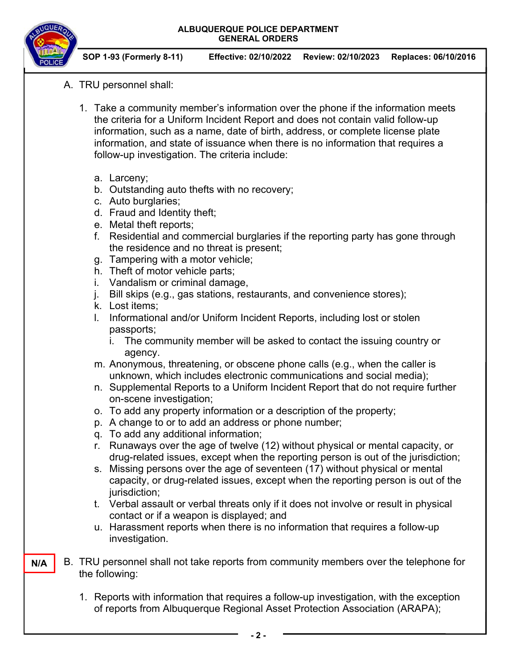

**SOP 1-93 (Formerly 8-11) Effective: 02/10/2022 Review: 02/10/2023 Replaces: 06/10/2016**

- A. TRU personnel shall:
	- 1. Take a community member's information over the phone if the information meets the criteria for a Uniform Incident Report and does not contain valid follow-up information, such as a name, date of birth, address, or complete license plate information, and state of issuance when there is no information that requires a follow-up investigation. The criteria include:
		- a. Larceny;
		- b. Outstanding auto thefts with no recovery;
		- c. Auto burglaries;
		- d. Fraud and Identity theft;
		- e. Metal theft reports;
		- f. Residential and commercial burglaries if the reporting party has gone through the residence and no threat is present;
		- g. Tampering with a motor vehicle;
		- h. Theft of motor vehicle parts;
		- i. Vandalism or criminal damage,
		- j. Bill skips (e.g., gas stations, restaurants, and convenience stores);
		- k. Lost items;
		- l. Informational and/or Uniform Incident Reports, including lost or stolen passports;
			- i. The community member will be asked to contact the issuing country or agency.
		- m. Anonymous, threatening, or obscene phone calls (e.g., when the caller is unknown, which includes electronic communications and social media);
		- n. Supplemental Reports to a Uniform Incident Report that do not require further on-scene investigation;
		- o. To add any property information or a description of the property;
		- p. A change to or to add an address or phone number;
		- q. To add any additional information;
		- r. Runaways over the age of twelve (12) without physical or mental capacity, or drug-related issues, except when the reporting person is out of the jurisdiction;
		- s. Missing persons over the age of seventeen (17) without physical or mental capacity, or drug-related issues, except when the reporting person is out of the jurisdiction;
		- t. Verbal assault or verbal threats only if it does not involve or result in physical contact or if a weapon is displayed; and
		- u. Harassment reports when there is no information that requires a follow-up investigation.
- B. TRU personnel shall not take reports from community members over the telephone for the following: **N/A** 
	- 1. Reports with information that requires a follow-up investigation, with the exception of reports from Albuquerque Regional Asset Protection Association (ARAPA);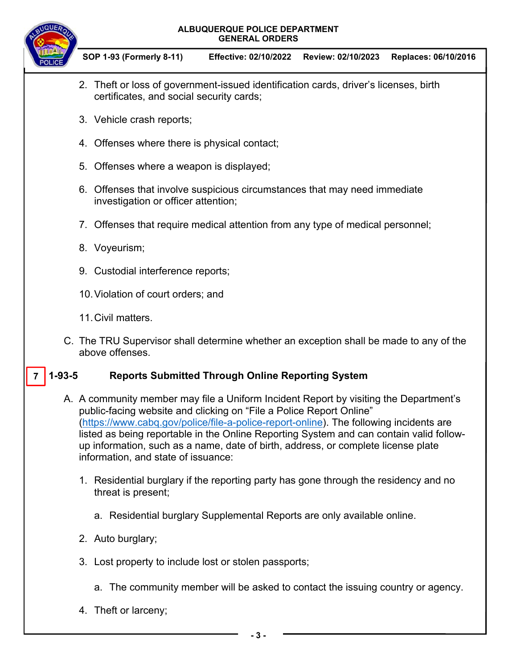

**SOP 1-93 (Formerly 8-11) Effective: 02/10/2022 Review: 02/10/2023 Replaces: 06/10/2016**

- 2. Theft or loss of government-issued identification cards, driver's licenses, birth certificates, and social security cards;
- 3. Vehicle crash reports;
- 4. Offenses where there is physical contact;
- 5. Offenses where a weapon is displayed;
- 6. Offenses that involve suspicious circumstances that may need immediate investigation or officer attention;
- 7. Offenses that require medical attention from any type of medical personnel;
- 8. Voyeurism;
- 9. Custodial interference reports;
- 10. Violation of court orders; and
- 11. Civil matters.
- C. The TRU Supervisor shall determine whether an exception shall be made to any of the above offenses.

#### **1-93-5 Reports Submitted Through Online Reporting System 7**

- A. A community member may file a Uniform Incident Report by visiting the Department's public-facing website and clicking on "File a Police Report Online" (https://www.cabq.gov/police/file-a-police-report-online). The following incidents are listed as being reportable in the Online Reporting System and can contain valid followup information, such as a name, date of birth, address, or complete license plate information, and state of issuance:
	- 1. Residential burglary if the reporting party has gone through the residency and no threat is present;
		- a. Residential burglary Supplemental Reports are only available online.
	- 2. Auto burglary;
	- 3. Lost property to include lost or stolen passports;
		- a. The community member will be asked to contact the issuing country or agency.
	- 4. Theft or larceny;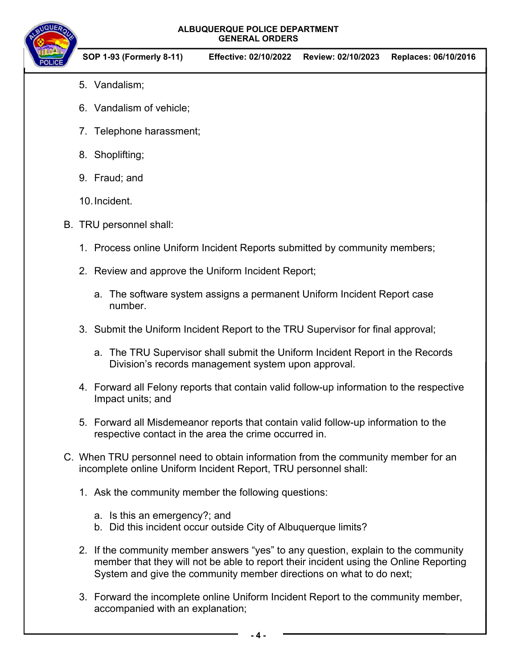

**SOP 1-93 (Formerly 8-11) Effective: 02/10/2022 Review: 02/10/2023 Replaces: 06/10/2016**

- 5. Vandalism;
- 6. Vandalism of vehicle;
- 7. Telephone harassment;
- 8. Shoplifting;
- 9. Fraud; and
- 10. Incident.
- B. TRU personnel shall:
	- 1. Process online Uniform Incident Reports submitted by community members;
	- 2. Review and approve the Uniform Incident Report;
		- a. The software system assigns a permanent Uniform Incident Report case number.
	- 3. Submit the Uniform Incident Report to the TRU Supervisor for final approval;
		- a. The TRU Supervisor shall submit the Uniform Incident Report in the Records Division's records management system upon approval.
	- 4. Forward all Felony reports that contain valid follow-up information to the respective Impact units; and
	- 5. Forward all Misdemeanor reports that contain valid follow-up information to the respective contact in the area the crime occurred in.
- C. When TRU personnel need to obtain information from the community member for an incomplete online Uniform Incident Report, TRU personnel shall:
	- 1. Ask the community member the following questions:
		- a. Is this an emergency?; and
		- b. Did this incident occur outside City of Albuquerque limits?
	- 2. If the community member answers "yes" to any question, explain to the community member that they will not be able to report their incident using the Online Reporting System and give the community member directions on what to do next;
	- 3. Forward the incomplete online Uniform Incident Report to the community member, accompanied with an explanation;